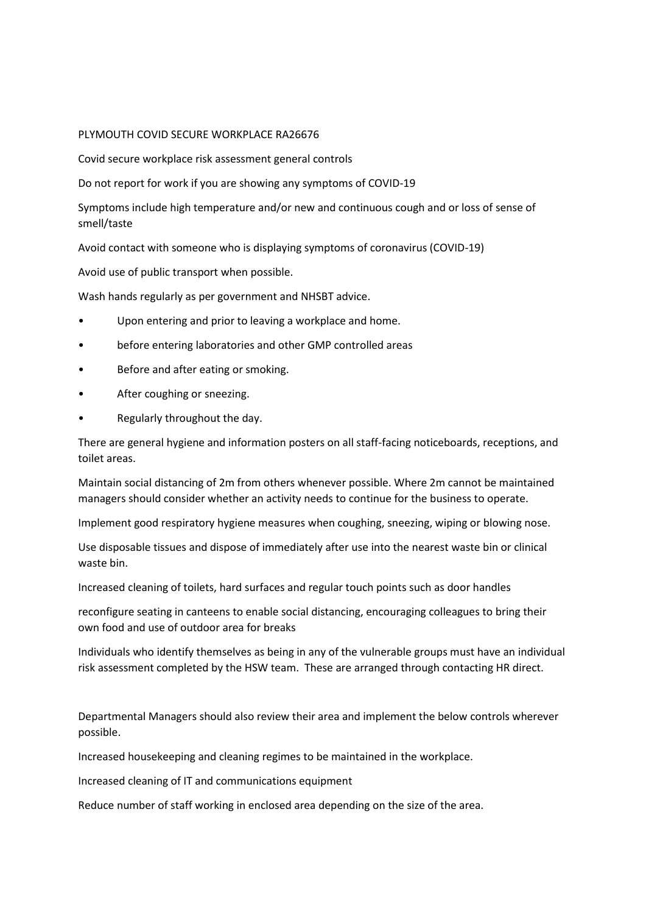#### PLYMOUTH COVID SECURE WORKPLACE RA26676

Covid secure workplace risk assessment general controls

Do not report for work if you are showing any symptoms of COVID-19

Symptoms include high temperature and/or new and continuous cough and or loss of sense of smell/taste

Avoid contact with someone who is displaying symptoms of coronavirus (COVID-19)

Avoid use of public transport when possible.

Wash hands regularly as per government and NHSBT advice.

- Upon entering and prior to leaving a workplace and home.
- before entering laboratories and other GMP controlled areas
- Before and after eating or smoking.
- After coughing or sneezing.
- Regularly throughout the day.

There are general hygiene and information posters on all staff-facing noticeboards, receptions, and toilet areas.

Maintain social distancing of 2m from others whenever possible. Where 2m cannot be maintained managers should consider whether an activity needs to continue for the business to operate.

Implement good respiratory hygiene measures when coughing, sneezing, wiping or blowing nose.

Use disposable tissues and dispose of immediately after use into the nearest waste bin or clinical waste bin.

Increased cleaning of toilets, hard surfaces and regular touch points such as door handles

reconfigure seating in canteens to enable social distancing, encouraging colleagues to bring their own food and use of outdoor area for breaks

Individuals who identify themselves as being in any of the vulnerable groups must have an individual risk assessment completed by the HSW team. These are arranged through contacting HR direct.

Departmental Managers should also review their area and implement the below controls wherever possible.

Increased housekeeping and cleaning regimes to be maintained in the workplace.

Increased cleaning of IT and communications equipment

Reduce number of staff working in enclosed area depending on the size of the area.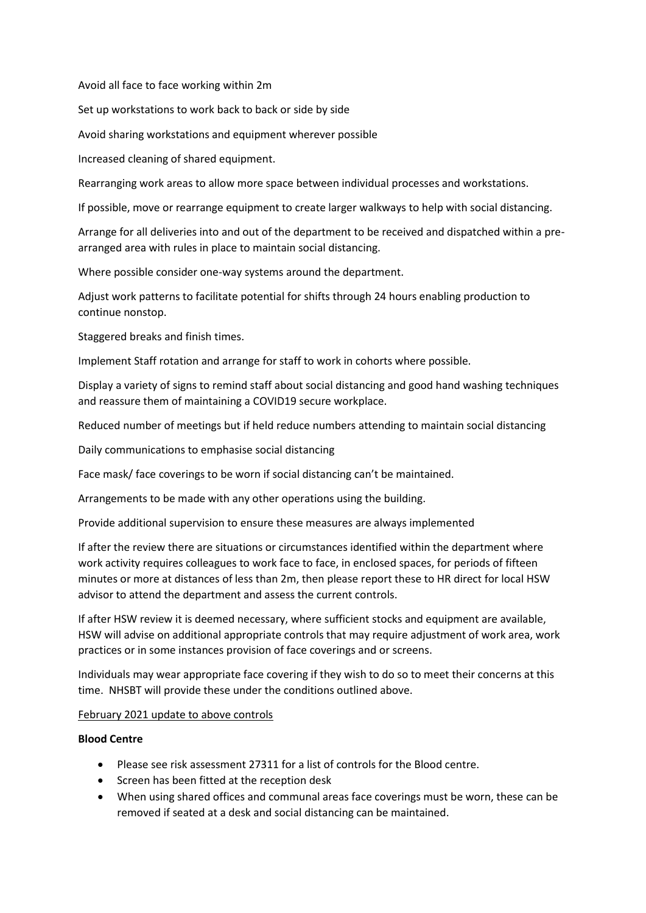Avoid all face to face working within 2m

Set up workstations to work back to back or side by side

Avoid sharing workstations and equipment wherever possible

Increased cleaning of shared equipment.

Rearranging work areas to allow more space between individual processes and workstations.

If possible, move or rearrange equipment to create larger walkways to help with social distancing.

Arrange for all deliveries into and out of the department to be received and dispatched within a prearranged area with rules in place to maintain social distancing.

Where possible consider one-way systems around the department.

Adjust work patterns to facilitate potential for shifts through 24 hours enabling production to continue nonstop.

Staggered breaks and finish times.

Implement Staff rotation and arrange for staff to work in cohorts where possible.

Display a variety of signs to remind staff about social distancing and good hand washing techniques and reassure them of maintaining a COVID19 secure workplace.

Reduced number of meetings but if held reduce numbers attending to maintain social distancing

Daily communications to emphasise social distancing

Face mask/ face coverings to be worn if social distancing can't be maintained.

Arrangements to be made with any other operations using the building.

Provide additional supervision to ensure these measures are always implemented

If after the review there are situations or circumstances identified within the department where work activity requires colleagues to work face to face, in enclosed spaces, for periods of fifteen minutes or more at distances of less than 2m, then please report these to HR direct for local HSW advisor to attend the department and assess the current controls.

If after HSW review it is deemed necessary, where sufficient stocks and equipment are available, HSW will advise on additional appropriate controls that may require adjustment of work area, work practices or in some instances provision of face coverings and or screens.

Individuals may wear appropriate face covering if they wish to do so to meet their concerns at this time. NHSBT will provide these under the conditions outlined above.

#### February 2021 update to above controls

## **Blood Centre**

- Please see risk assessment 27311 for a list of controls for the Blood centre.
- Screen has been fitted at the reception desk
- When using shared offices and communal areas face coverings must be worn, these can be removed if seated at a desk and social distancing can be maintained.